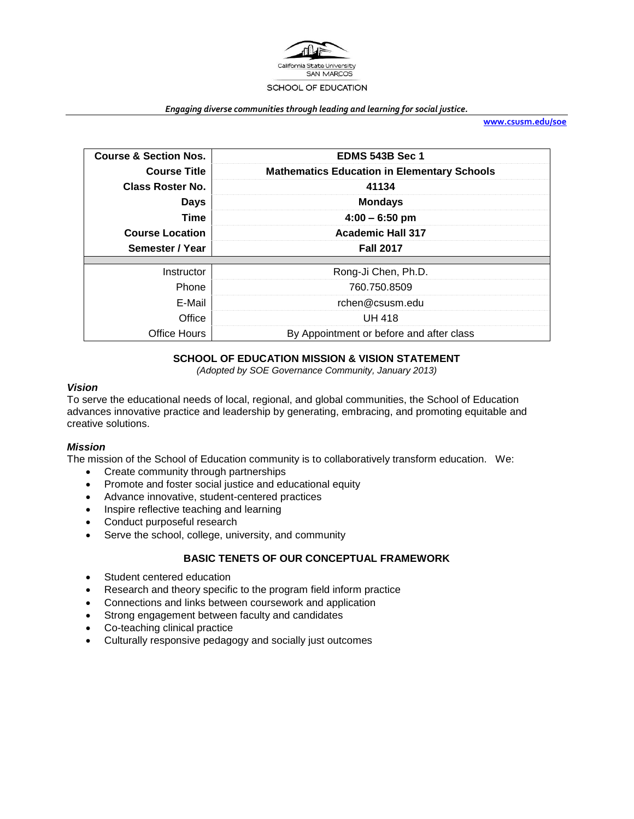

#### *Engaging diverse communities through leading and learning for social justice.*

**[www.csusm.edu/soe](http://www.csusm.edu/soe)**

| <b>Course &amp; Section Nos.</b> | <b>EDMS 543B Sec 1</b>                             |  |  |
|----------------------------------|----------------------------------------------------|--|--|
| <b>Course Title</b>              | <b>Mathematics Education in Elementary Schools</b> |  |  |
| <b>Class Roster No.</b>          | 41134<br><b>Mondays</b>                            |  |  |
| <b>Days</b>                      |                                                    |  |  |
| Time                             | $4:00 - 6:50$ pm                                   |  |  |
| <b>Course Location</b>           | <b>Academic Hall 317</b>                           |  |  |
| Semester / Year                  | <b>Fall 2017</b>                                   |  |  |
|                                  |                                                    |  |  |
| Instructor                       | Rong-Ji Chen, Ph.D.                                |  |  |
| Phone                            | 760.750.8509                                       |  |  |
| E-Mail                           | rchen@csusm.edu                                    |  |  |
| Office                           | <b>UH 418</b>                                      |  |  |
| Office Hours                     | By Appointment or before and after class           |  |  |

## **SCHOOL OF EDUCATION MISSION & VISION STATEMENT**

*(Adopted by SOE Governance Community, January 2013)*

#### *Vision*

To serve the educational needs of local, regional, and global communities, the School of Education advances innovative practice and leadership by generating, embracing, and promoting equitable and creative solutions.

### *Mission*

The mission of the School of Education community is to collaboratively transform education. We:

- Create community through partnerships
- Promote and foster social justice and educational equity
- Advance innovative, student-centered practices
- Inspire reflective teaching and learning
- Conduct purposeful research
- Serve the school, college, university, and community

### **BASIC TENETS OF OUR CONCEPTUAL FRAMEWORK**

- Student centered education
- Research and theory specific to the program field inform practice
- Connections and links between coursework and application
- Strong engagement between faculty and candidates
- Co-teaching clinical practice
- Culturally responsive pedagogy and socially just outcomes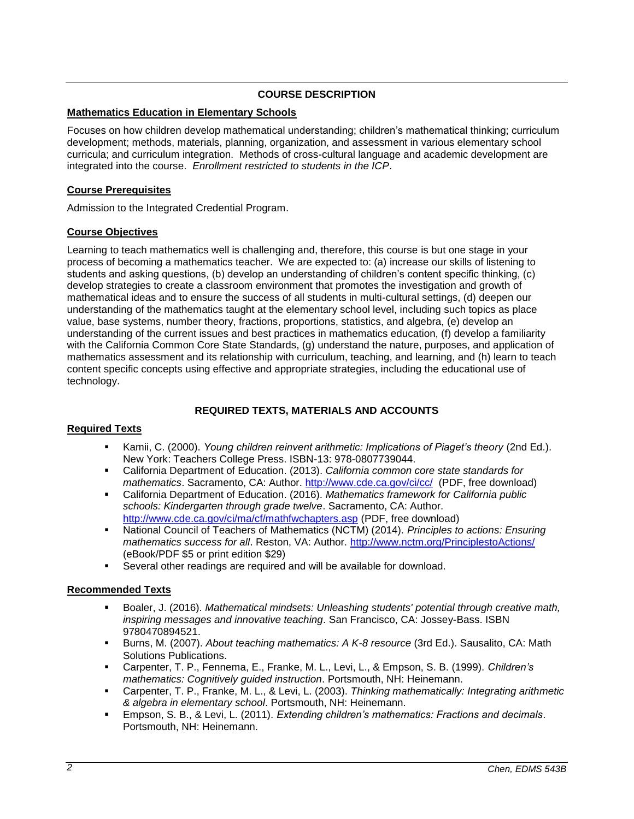## **COURSE DESCRIPTION**

### **Mathematics Education in Elementary Schools**

Focuses on how children develop mathematical understanding; children's mathematical thinking; curriculum development; methods, materials, planning, organization, and assessment in various elementary school curricula; and curriculum integration. Methods of cross-cultural language and academic development are integrated into the course. *Enrollment restricted to students in the ICP*.

### **Course Prerequisites**

Admission to the Integrated Credential Program.

### **Course Objectives**

Learning to teach mathematics well is challenging and, therefore, this course is but one stage in your process of becoming a mathematics teacher. We are expected to: (a) increase our skills of listening to students and asking questions, (b) develop an understanding of children's content specific thinking, (c) develop strategies to create a classroom environment that promotes the investigation and growth of mathematical ideas and to ensure the success of all students in multi-cultural settings, (d) deepen our understanding of the mathematics taught at the elementary school level, including such topics as place value, base systems, number theory, fractions, proportions, statistics, and algebra, (e) develop an understanding of the current issues and best practices in mathematics education, (f) develop a familiarity with the California Common Core State Standards, (g) understand the nature, purposes, and application of mathematics assessment and its relationship with curriculum, teaching, and learning, and (h) learn to teach content specific concepts using effective and appropriate strategies, including the educational use of technology.

## **REQUIRED TEXTS, MATERIALS AND ACCOUNTS**

## **Required Texts**

- Kamii, C. (2000). *Young children reinvent arithmetic: Implications of Piaget's theory* (2nd Ed.). New York: Teachers College Press. ISBN-13: 978-0807739044.
- California Department of Education. (2013). *California common core state standards for mathematics*. Sacramento, CA: Author.<http://www.cde.ca.gov/ci/cc/>(PDF, free download)
- California Department of Education. (2016). *Mathematics framework for California public schools: Kindergarten through grade twelve*. Sacramento, CA: Author. <http://www.cde.ca.gov/ci/ma/cf/mathfwchapters.asp> (PDF, free download)
- National Council of Teachers of Mathematics (NCTM) (2014). *Principles to actions: Ensuring mathematics success for all*. Reston, VA: Author.<http://www.nctm.org/PrinciplestoActions/> (eBook/PDF \$5 or print edition \$29)
- Several other readings are required and will be available for download.

### **Recommended Texts**

- Boaler, J. (2016). *Mathematical mindsets: Unleashing students' potential through creative math, inspiring messages and innovative teaching*. San Francisco, CA: Jossey-Bass. ISBN 9780470894521.
- Burns, M. (2007). *About teaching mathematics: A K-8 resource* (3rd Ed.). Sausalito, CA: Math Solutions Publications.
- Carpenter, T. P., Fennema, E., Franke, M. L., Levi, L., & Empson, S. B. (1999). *Children's mathematics: Cognitively guided instruction*. Portsmouth, NH: Heinemann.
- Carpenter, T. P., Franke, M. L., & Levi, L. (2003). *Thinking mathematically: Integrating arithmetic & algebra in elementary school*. Portsmouth, NH: Heinemann.
- Empson, S. B., & Levi, L. (2011). *Extending children's mathematics: Fractions and decimals*. Portsmouth, NH: Heinemann.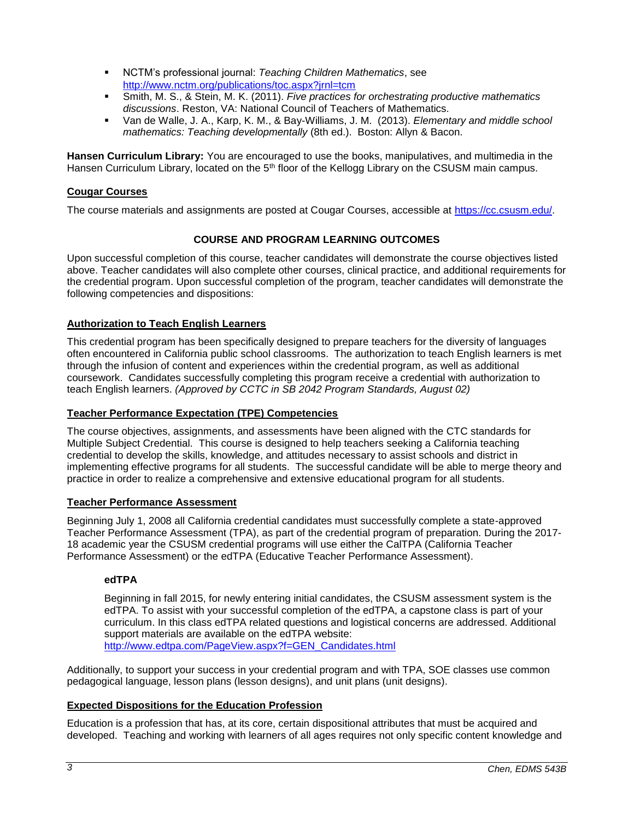- NCTM's professional journal: *Teaching Children Mathematics*, see <http://www.nctm.org/publications/toc.aspx?jrnl=tcm>
- Smith, M. S., & Stein, M. K. (2011). *Five practices for orchestrating productive mathematics discussions*. Reston, VA: National Council of Teachers of Mathematics.
- Van de Walle, J. A., Karp, K. M., & Bay-Williams, J. M. (2013). *Elementary and middle school mathematics: Teaching developmentally* (8th ed.). Boston: Allyn & Bacon.

**Hansen Curriculum Library:** You are encouraged to use the books, manipulatives, and multimedia in the Hansen Curriculum Library, located on the 5<sup>th</sup> floor of the Kellogg Library on the CSUSM main campus.

### **Cougar Courses**

The course materials and assignments are posted at Cougar Courses, accessible at [https://cc.csusm.edu/.](https://cc.csusm.edu/)

## **COURSE AND PROGRAM LEARNING OUTCOMES**

Upon successful completion of this course, teacher candidates will demonstrate the course objectives listed above. Teacher candidates will also complete other courses, clinical practice, and additional requirements for the credential program. Upon successful completion of the program, teacher candidates will demonstrate the following competencies and dispositions:

## **Authorization to Teach English Learners**

This credential program has been specifically designed to prepare teachers for the diversity of languages often encountered in California public school classrooms. The authorization to teach English learners is met through the infusion of content and experiences within the credential program, as well as additional coursework. Candidates successfully completing this program receive a credential with authorization to teach English learners. *(Approved by CCTC in SB 2042 Program Standards, August 02)*

### **Teacher Performance Expectation (TPE) Competencies**

The course objectives, assignments, and assessments have been aligned with the CTC standards for Multiple Subject Credential. This course is designed to help teachers seeking a California teaching credential to develop the skills, knowledge, and attitudes necessary to assist schools and district in implementing effective programs for all students. The successful candidate will be able to merge theory and practice in order to realize a comprehensive and extensive educational program for all students.

## **Teacher Performance Assessment**

Beginning July 1, 2008 all California credential candidates must successfully complete a state-approved Teacher Performance Assessment (TPA), as part of the credential program of preparation. During the 2017- 18 academic year the CSUSM credential programs will use either the CalTPA (California Teacher Performance Assessment) or the edTPA (Educative Teacher Performance Assessment).

## **edTPA**

Beginning in fall 2015, for newly entering initial candidates, the CSUSM assessment system is the edTPA. To assist with your successful completion of the edTPA, a capstone class is part of your curriculum. In this class edTPA related questions and logistical concerns are addressed. Additional support materials are available on the edTPA website: [http://www.edtpa.com/PageView.aspx?f=GEN\\_Candidates.html](http://www.edtpa.com/PageView.aspx?f=GEN_Candidates.html)

Additionally, to support your success in your credential program and with TPA, SOE classes use common pedagogical language, lesson plans (lesson designs), and unit plans (unit designs).

## **Expected Dispositions for the Education Profession**

Education is a profession that has, at its core, certain dispositional attributes that must be acquired and developed. Teaching and working with learners of all ages requires not only specific content knowledge and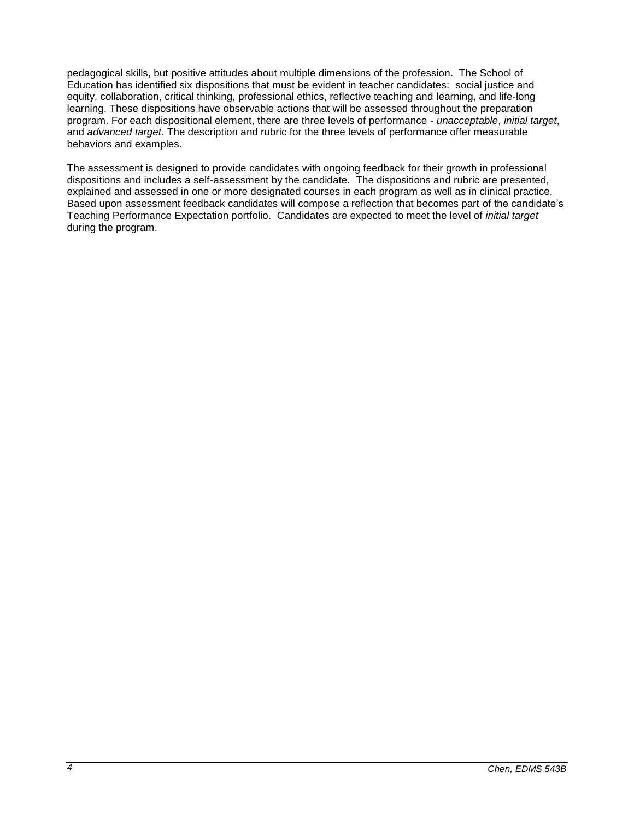pedagogical skills, but positive attitudes about multiple dimensions of the profession. The School of Education has identified six dispositions that must be evident in teacher candidates: social justice and equity, collaboration, critical thinking, professional ethics, reflective teaching and learning, and life-long learning. These dispositions have observable actions that will be assessed throughout the preparation program. For each dispositional element, there are three levels of performance - *unacceptable*, *initial target*, and *advanced target*. The description and rubric for the three levels of performance offer measurable behaviors and examples.

The assessment is designed to provide candidates with ongoing feedback for their growth in professional dispositions and includes a self-assessment by the candidate. The dispositions and rubric are presented, explained and assessed in one or more designated courses in each program as well as in clinical practice. Based upon assessment feedback candidates will compose a reflection that becomes part of the candidate's Teaching Performance Expectation portfolio. Candidates are expected to meet the level of *initial target* during the program.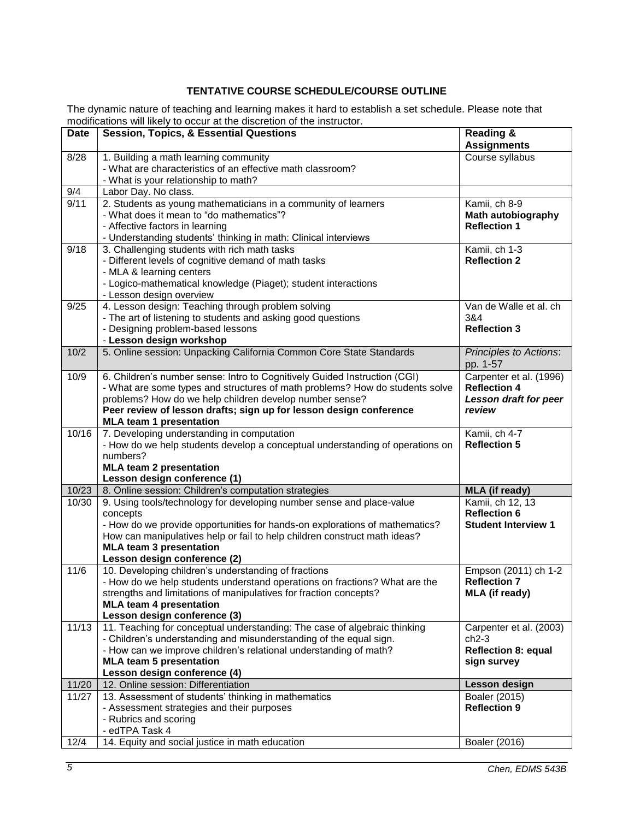# **TENTATIVE COURSE SCHEDULE/COURSE OUTLINE**

The dynamic nature of teaching and learning makes it hard to establish a set schedule. Please note that modifications will likely to occur at the discretion of the instructor.

| <b>Date</b> | <b>Session, Topics, &amp; Essential Questions</b>                                                               | <b>Reading &amp;</b>                        |
|-------------|-----------------------------------------------------------------------------------------------------------------|---------------------------------------------|
|             |                                                                                                                 | <b>Assignments</b>                          |
| 8/28        | 1. Building a math learning community                                                                           | Course syllabus                             |
|             | - What are characteristics of an effective math classroom?                                                      |                                             |
|             | - What is your relationship to math?                                                                            |                                             |
| 9/4         | Labor Day. No class.                                                                                            |                                             |
| 9/11        | 2. Students as young mathematicians in a community of learners                                                  | Kamii, ch 8-9                               |
|             | - What does it mean to "do mathematics"?                                                                        | <b>Math autobiography</b>                   |
|             | - Affective factors in learning                                                                                 | <b>Reflection 1</b>                         |
| 9/18        | - Understanding students' thinking in math: Clinical interviews<br>3. Challenging students with rich math tasks |                                             |
|             | - Different levels of cognitive demand of math tasks                                                            | Kamii, ch 1-3<br><b>Reflection 2</b>        |
|             | - MLA & learning centers                                                                                        |                                             |
|             | - Logico-mathematical knowledge (Piaget); student interactions                                                  |                                             |
|             | - Lesson design overview                                                                                        |                                             |
| 9/25        | 4. Lesson design: Teaching through problem solving                                                              | Van de Walle et al. ch                      |
|             | - The art of listening to students and asking good questions                                                    | 3&4                                         |
|             | - Designing problem-based lessons                                                                               | <b>Reflection 3</b>                         |
|             | - Lesson design workshop                                                                                        |                                             |
| 10/2        | 5. Online session: Unpacking California Common Core State Standards                                             | <b>Principles to Actions:</b>               |
|             |                                                                                                                 | pp. 1-57                                    |
| 10/9        | 6. Children's number sense: Intro to Cognitively Guided Instruction (CGI)                                       | Carpenter et al. (1996)                     |
|             | - What are some types and structures of math problems? How do students solve                                    | <b>Reflection 4</b>                         |
|             | problems? How do we help children develop number sense?                                                         | <b>Lesson draft for peer</b>                |
|             | Peer review of lesson drafts; sign up for lesson design conference                                              | review                                      |
| 10/16       | <b>MLA team 1 presentation</b><br>7. Developing understanding in computation                                    | Kamii, ch 4-7                               |
|             | - How do we help students develop a conceptual understanding of operations on                                   | <b>Reflection 5</b>                         |
|             | numbers?                                                                                                        |                                             |
|             | <b>MLA team 2 presentation</b>                                                                                  |                                             |
|             | Lesson design conference (1)                                                                                    |                                             |
| 10/23       | 8. Online session: Children's computation strategies                                                            | <b>MLA</b> (if ready)                       |
| 10/30       | 9. Using tools/technology for developing number sense and place-value                                           | Kamii, ch 12, 13                            |
|             | concepts                                                                                                        | <b>Reflection 6</b>                         |
|             | - How do we provide opportunities for hands-on explorations of mathematics?                                     | <b>Student Interview 1</b>                  |
|             | How can manipulatives help or fail to help children construct math ideas?                                       |                                             |
|             | <b>MLA team 3 presentation</b>                                                                                  |                                             |
|             | Lesson design conference (2)<br>10. Developing children's understanding of fractions                            |                                             |
| 11/6        | - How do we help students understand operations on fractions? What are the                                      | Empson (2011) ch 1-2<br><b>Reflection 7</b> |
|             | strengths and limitations of manipulatives for fraction concepts?                                               | <b>MLA</b> (if ready)                       |
|             | <b>MLA team 4 presentation</b>                                                                                  |                                             |
|             | Lesson design conference (3)                                                                                    |                                             |
| 11/13       | 11. Teaching for conceptual understanding: The case of algebraic thinking                                       | Carpenter et al. (2003)                     |
|             | - Children's understanding and misunderstanding of the equal sign.                                              | $ch2-3$                                     |
|             | - How can we improve children's relational understanding of math?                                               | <b>Reflection 8: equal</b>                  |
|             | <b>MLA team 5 presentation</b>                                                                                  | sign survey                                 |
|             | Lesson design conference (4)                                                                                    |                                             |
| 11/20       | 12. Online session: Differentiation                                                                             | Lesson design                               |
| 11/27       | 13. Assessment of students' thinking in mathematics                                                             | Boaler (2015)                               |
|             | - Assessment strategies and their purposes                                                                      | <b>Reflection 9</b>                         |
|             | - Rubrics and scoring                                                                                           |                                             |
|             | - edTPA Task 4                                                                                                  |                                             |
| 12/4        | 14. Equity and social justice in math education                                                                 | Boaler (2016)                               |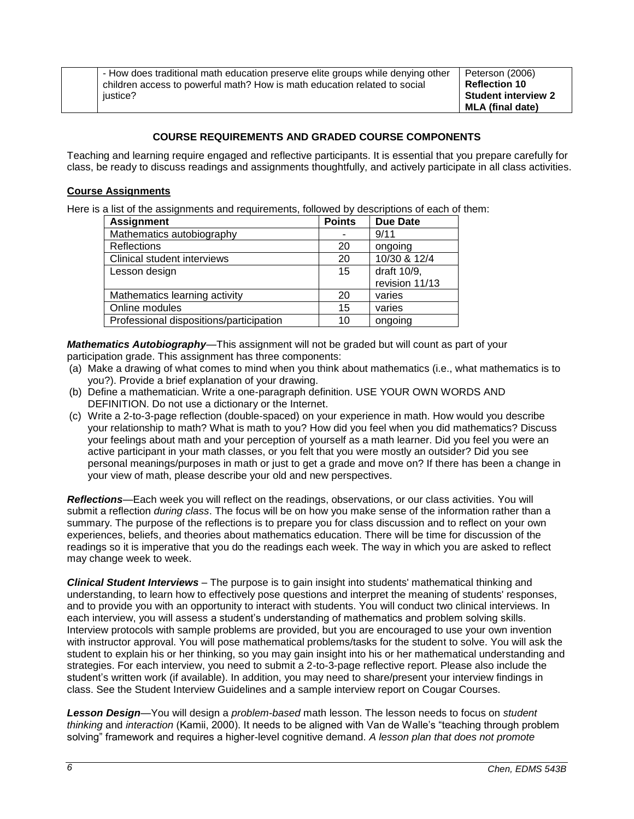- How does traditional math education preserve elite groups while denying other children access to powerful math? How is math education related to social justice?

Peterson (2006) **Reflection 10 Student interview 2 MLA (final date)**

# **COURSE REQUIREMENTS AND GRADED COURSE COMPONENTS**

Teaching and learning require engaged and reflective participants. It is essential that you prepare carefully for class, be ready to discuss readings and assignments thoughtfully, and actively participate in all class activities.

## **Course Assignments**

Here is a list of the assignments and requirements, followed by descriptions of each of them:

| <b>Assignment</b>                       | <b>Points</b> | <b>Due Date</b> |
|-----------------------------------------|---------------|-----------------|
| Mathematics autobiography               |               | 9/11            |
| Reflections                             | 20            | ongoing         |
| Clinical student interviews             | 20            | 10/30 & 12/4    |
| Lesson design                           | 15            | draft 10/9,     |
|                                         |               | revision 11/13  |
| Mathematics learning activity           | 20            | varies          |
| Online modules                          | 15            | varies          |
| Professional dispositions/participation | 10            | ongoing         |

*Mathematics Autobiography*—This assignment will not be graded but will count as part of your participation grade. This assignment has three components:

- (a) Make a drawing of what comes to mind when you think about mathematics (i.e., what mathematics is to you?). Provide a brief explanation of your drawing.
- (b) Define a mathematician. Write a one-paragraph definition. USE YOUR OWN WORDS AND DEFINITION. Do not use a dictionary or the Internet.
- (c) Write a 2-to-3-page reflection (double-spaced) on your experience in math. How would you describe your relationship to math? What is math to you? How did you feel when you did mathematics? Discuss your feelings about math and your perception of yourself as a math learner. Did you feel you were an active participant in your math classes, or you felt that you were mostly an outsider? Did you see personal meanings/purposes in math or just to get a grade and move on? If there has been a change in your view of math, please describe your old and new perspectives.

*Reflections*—Each week you will reflect on the readings, observations, or our class activities. You will submit a reflection *during class*. The focus will be on how you make sense of the information rather than a summary. The purpose of the reflections is to prepare you for class discussion and to reflect on your own experiences, beliefs, and theories about mathematics education. There will be time for discussion of the readings so it is imperative that you do the readings each week. The way in which you are asked to reflect may change week to week.

*Clinical Student Interviews* – The purpose is to gain insight into students' mathematical thinking and understanding, to learn how to effectively pose questions and interpret the meaning of students' responses, and to provide you with an opportunity to interact with students. You will conduct two clinical interviews. In each interview, you will assess a student's understanding of mathematics and problem solving skills. Interview protocols with sample problems are provided, but you are encouraged to use your own invention with instructor approval. You will pose mathematical problems/tasks for the student to solve. You will ask the student to explain his or her thinking, so you may gain insight into his or her mathematical understanding and strategies. For each interview, you need to submit a 2-to-3-page reflective report. Please also include the student's written work (if available). In addition, you may need to share/present your interview findings in class. See the Student Interview Guidelines and a sample interview report on Cougar Courses.

*Lesson Design*—You will design a *problem-based* math lesson. The lesson needs to focus on *student thinking* and *interaction* (Kamii, 2000). It needs to be aligned with Van de Walle's "teaching through problem solving" framework and requires a higher-level cognitive demand. *A lesson plan that does not promote*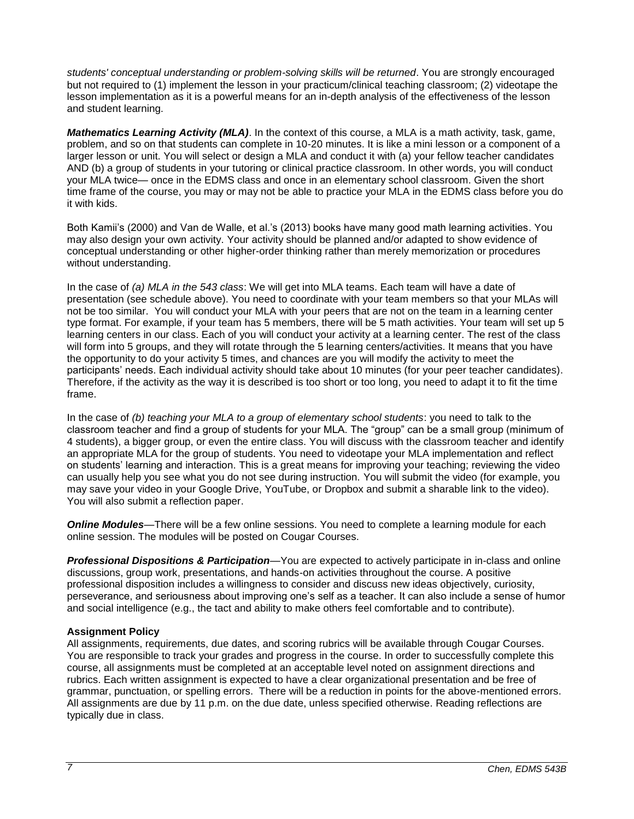*students' conceptual understanding or problem-solving skills will be returned*. You are strongly encouraged but not required to (1) implement the lesson in your practicum/clinical teaching classroom; (2) videotape the lesson implementation as it is a powerful means for an in-depth analysis of the effectiveness of the lesson and student learning.

*Mathematics Learning Activity (MLA)*. In the context of this course, a MLA is a math activity, task, game, problem, and so on that students can complete in 10-20 minutes. It is like a mini lesson or a component of a larger lesson or unit. You will select or design a MLA and conduct it with (a) your fellow teacher candidates AND (b) a group of students in your tutoring or clinical practice classroom. In other words, you will conduct your MLA twice— once in the EDMS class and once in an elementary school classroom. Given the short time frame of the course, you may or may not be able to practice your MLA in the EDMS class before you do it with kids.

Both Kamii's (2000) and Van de Walle, et al.'s (2013) books have many good math learning activities. You may also design your own activity. Your activity should be planned and/or adapted to show evidence of conceptual understanding or other higher-order thinking rather than merely memorization or procedures without understanding.

In the case of *(a) MLA in the 543 class*: We will get into MLA teams. Each team will have a date of presentation (see schedule above). You need to coordinate with your team members so that your MLAs will not be too similar. You will conduct your MLA with your peers that are not on the team in a learning center type format. For example, if your team has 5 members, there will be 5 math activities. Your team will set up 5 learning centers in our class. Each of you will conduct your activity at a learning center. The rest of the class will form into 5 groups, and they will rotate through the 5 learning centers/activities. It means that you have the opportunity to do your activity 5 times, and chances are you will modify the activity to meet the participants' needs. Each individual activity should take about 10 minutes (for your peer teacher candidates). Therefore, if the activity as the way it is described is too short or too long, you need to adapt it to fit the time frame.

In the case of *(b) teaching your MLA to a group of elementary school students*: you need to talk to the classroom teacher and find a group of students for your MLA. The "group" can be a small group (minimum of 4 students), a bigger group, or even the entire class. You will discuss with the classroom teacher and identify an appropriate MLA for the group of students. You need to videotape your MLA implementation and reflect on students' learning and interaction. This is a great means for improving your teaching; reviewing the video can usually help you see what you do not see during instruction. You will submit the video (for example, you may save your video in your Google Drive, YouTube, or Dropbox and submit a sharable link to the video). You will also submit a reflection paper.

*Online Modules*—There will be a few online sessions. You need to complete a learning module for each online session. The modules will be posted on Cougar Courses.

*Professional Dispositions & Participation*—You are expected to actively participate in in-class and online discussions, group work, presentations, and hands-on activities throughout the course. A positive professional disposition includes a willingness to consider and discuss new ideas objectively, curiosity, perseverance, and seriousness about improving one's self as a teacher. It can also include a sense of humor and social intelligence (e.g., the tact and ability to make others feel comfortable and to contribute).

## **Assignment Policy**

All assignments, requirements, due dates, and scoring rubrics will be available through Cougar Courses. You are responsible to track your grades and progress in the course. In order to successfully complete this course, all assignments must be completed at an acceptable level noted on assignment directions and rubrics. Each written assignment is expected to have a clear organizational presentation and be free of grammar, punctuation, or spelling errors. There will be a reduction in points for the above-mentioned errors. All assignments are due by 11 p.m. on the due date, unless specified otherwise. Reading reflections are typically due in class.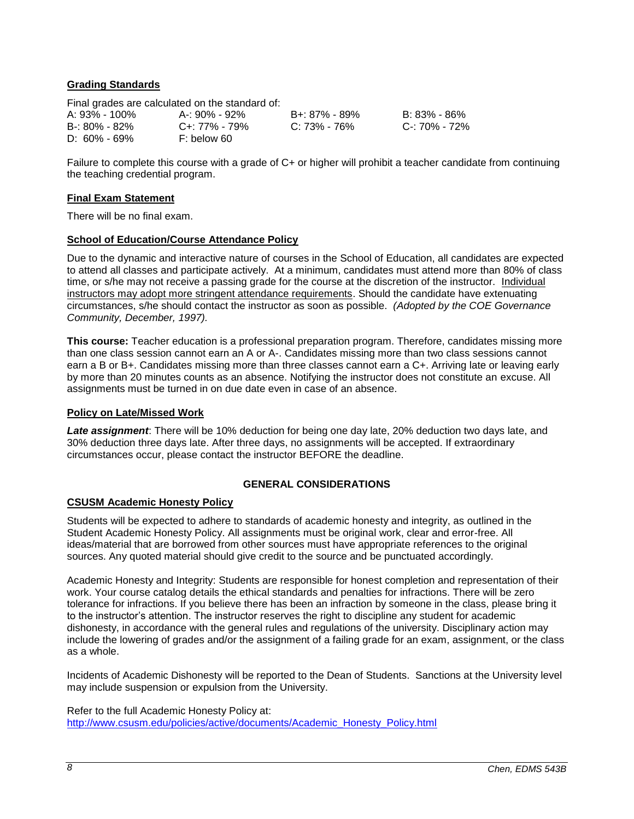## **Grading Standards**

Final grades are calculated on the standard of:

| A: 93% - 100% | A-: 90% - 92%       | B+: 8 |
|---------------|---------------------|-------|
| B-: 80% - 82% | $C_{+}$ : 77% - 79% | C: 73 |
| D: 60% - 69%  | F: below 60         |       |

A: 93% - 100% A-: 90% - 92% B+: 87% - 89% B: 83% - 86% B-: 80% - 82% C+: 77% - 79% C: 73% - 76% C-: 70% - 72%

Failure to complete this course with a grade of C+ or higher will prohibit a teacher candidate from continuing the teaching credential program.

### **Final Exam Statement**

There will be no final exam.

### **School of Education/Course Attendance Policy**

Due to the dynamic and interactive nature of courses in the School of Education, all candidates are expected to attend all classes and participate actively. At a minimum, candidates must attend more than 80% of class time, or s/he may not receive a passing grade for the course at the discretion of the instructor. Individual instructors may adopt more stringent attendance requirements. Should the candidate have extenuating circumstances, s/he should contact the instructor as soon as possible. *(Adopted by the COE Governance Community, December, 1997).*

**This course:** Teacher education is a professional preparation program. Therefore, candidates missing more than one class session cannot earn an A or A-. Candidates missing more than two class sessions cannot earn a B or B+. Candidates missing more than three classes cannot earn a C+. Arriving late or leaving early by more than 20 minutes counts as an absence. Notifying the instructor does not constitute an excuse. All assignments must be turned in on due date even in case of an absence.

### **Policy on Late/Missed Work**

*Late assignment*: There will be 10% deduction for being one day late, 20% deduction two days late, and 30% deduction three days late. After three days, no assignments will be accepted. If extraordinary circumstances occur, please contact the instructor BEFORE the deadline.

## **GENERAL CONSIDERATIONS**

## **CSUSM Academic Honesty Policy**

Students will be expected to adhere to standards of academic honesty and integrity, as outlined in the Student Academic Honesty Policy. All assignments must be original work, clear and error-free. All ideas/material that are borrowed from other sources must have appropriate references to the original sources. Any quoted material should give credit to the source and be punctuated accordingly.

Academic Honesty and Integrity: Students are responsible for honest completion and representation of their work. Your course catalog details the ethical standards and penalties for infractions. There will be zero tolerance for infractions. If you believe there has been an infraction by someone in the class, please bring it to the instructor's attention. The instructor reserves the right to discipline any student for academic dishonesty, in accordance with the general rules and regulations of the university. Disciplinary action may include the lowering of grades and/or the assignment of a failing grade for an exam, assignment, or the class as a whole.

Incidents of Academic Dishonesty will be reported to the Dean of Students. Sanctions at the University level may include suspension or expulsion from the University.

Refer to the full Academic Honesty Policy at: [http://www.csusm.edu/policies/active/documents/Academic\\_Honesty\\_Policy.html](http://www.csusm.edu/policies/active/documents/Academic_Honesty_Policy.html)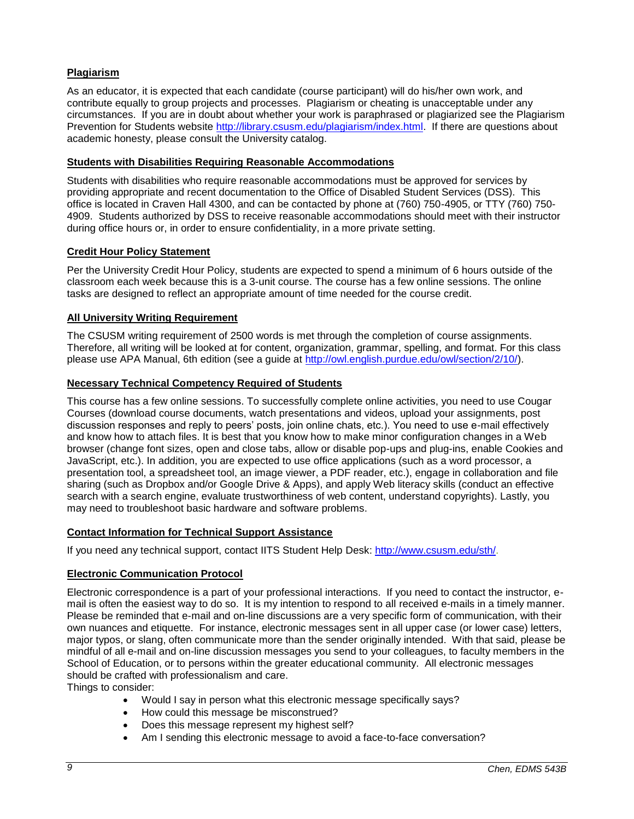## **Plagiarism**

As an educator, it is expected that each candidate (course participant) will do his/her own work, and contribute equally to group projects and processes. Plagiarism or cheating is unacceptable under any circumstances. If you are in doubt about whether your work is paraphrased or plagiarized see the Plagiarism Prevention for Students website [http://library.csusm.edu/plagiarism/index.html.](http://library.csusm.edu/plagiarism/index.html) If there are questions about academic honesty, please consult the University catalog.

### **Students with Disabilities Requiring Reasonable Accommodations**

Students with disabilities who require reasonable accommodations must be approved for services by providing appropriate and recent documentation to the Office of Disabled Student Services (DSS). This office is located in Craven Hall 4300, and can be contacted by phone at (760) 750-4905, or TTY (760) 750- 4909. Students authorized by DSS to receive reasonable accommodations should meet with their instructor during office hours or, in order to ensure confidentiality, in a more private setting.

### **Credit Hour Policy Statement**

Per the University Credit Hour Policy, students are expected to spend a minimum of 6 hours outside of the classroom each week because this is a 3-unit course. The course has a few online sessions. The online tasks are designed to reflect an appropriate amount of time needed for the course credit.

### **All University Writing Requirement**

The CSUSM writing requirement of 2500 words is met through the completion of course assignments. Therefore, all writing will be looked at for content, organization, grammar, spelling, and format. For this class please use APA Manual, 6th edition (see a guide at [http://owl.english.purdue.edu/owl/section/2/10/\)](http://owl.english.purdue.edu/owl/section/2/10/).

### **Necessary Technical Competency Required of Students**

This course has a few online sessions. To successfully complete online activities, you need to use Cougar Courses (download course documents, watch presentations and videos, upload your assignments, post discussion responses and reply to peers' posts, join online chats, etc.). You need to use e-mail effectively and know how to attach files. It is best that you know how to make minor configuration changes in a Web browser (change font sizes, open and close tabs, allow or disable pop-ups and plug-ins, enable Cookies and JavaScript, etc.). In addition, you are expected to use office applications (such as a word processor, a presentation tool, a spreadsheet tool, an image viewer, a PDF reader, etc.), engage in collaboration and file sharing (such as Dropbox and/or Google Drive & Apps), and apply Web literacy skills (conduct an effective search with a search engine, evaluate trustworthiness of web content, understand copyrights). Lastly, you may need to troubleshoot basic hardware and software problems.

## **Contact Information for Technical Support Assistance**

If you need any technical support, contact IITS Student Help Desk: [http://www.csusm.edu/sth/.](http://www.csusm.edu/sth/)

## **Electronic Communication Protocol**

Electronic correspondence is a part of your professional interactions. If you need to contact the instructor, email is often the easiest way to do so. It is my intention to respond to all received e-mails in a timely manner. Please be reminded that e-mail and on-line discussions are a very specific form of communication, with their own nuances and etiquette. For instance, electronic messages sent in all upper case (or lower case) letters, major typos, or slang, often communicate more than the sender originally intended. With that said, please be mindful of all e-mail and on-line discussion messages you send to your colleagues, to faculty members in the School of Education, or to persons within the greater educational community. All electronic messages should be crafted with professionalism and care.

Things to consider:

- Would I say in person what this electronic message specifically says?
- How could this message be misconstrued?
- Does this message represent my highest self?
- Am I sending this electronic message to avoid a face-to-face conversation?